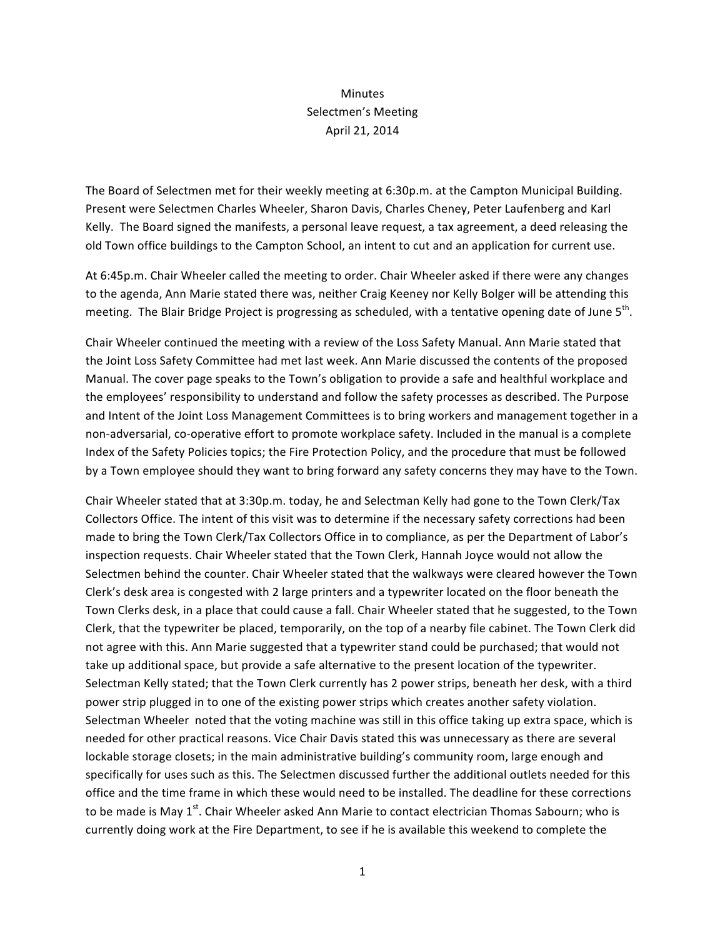## Minutes Selectmen's Meeting April 21, 2014

The Board of Selectmen met for their weekly meeting at 6:30p.m. at the Campton Municipal Building. Present were Selectmen Charles Wheeler, Sharon Davis, Charles Cheney, Peter Laufenberg and Karl Kelly. The Board signed the manifests, a personal leave request, a tax agreement, a deed releasing the old Town office buildings to the Campton School, an intent to cut and an application for current use.

At 6:45p.m. Chair Wheeler called the meeting to order. Chair Wheeler asked if there were any changes to the agenda, Ann Marie stated there was, neither Craig Keeney nor Kelly Bolger will be attending this meeting. The Blair Bridge Project is progressing as scheduled, with a tentative opening date of June  $5<sup>th</sup>$ .

Chair Wheeler continued the meeting with a review of the Loss Safety Manual. Ann Marie stated that the Joint Loss Safety Committee had met last week. Ann Marie discussed the contents of the proposed Manual. The cover page speaks to the Town's obligation to provide a safe and healthful workplace and the employees' responsibility to understand and follow the safety processes as described. The Purpose and Intent of the Joint Loss Management Committees is to bring workers and management together in a non-adversarial, co-operative effort to promote workplace safety. Included in the manual is a complete Index of the Safety Policies topics; the Fire Protection Policy, and the procedure that must be followed by a Town employee should they want to bring forward any safety concerns they may have to the Town.

Chair Wheeler stated that at 3:30p.m. today, he and Selectman Kelly had gone to the Town Clerk/Tax Collectors Office. The intent of this visit was to determine if the necessary safety corrections had been made to bring the Town Clerk/Tax Collectors Office in to compliance, as per the Department of Labor's inspection requests. Chair Wheeler stated that the Town Clerk, Hannah Joyce would not allow the Selectmen behind the counter. Chair Wheeler stated that the walkways were cleared however the Town Clerk's desk area is congested with 2 large printers and a typewriter located on the floor beneath the Town Clerks desk, in a place that could cause a fall. Chair Wheeler stated that he suggested, to the Town Clerk, that the typewriter be placed, temporarily, on the top of a nearby file cabinet. The Town Clerk did not agree with this. Ann Marie suggested that a typewriter stand could be purchased; that would not take up additional space, but provide a safe alternative to the present location of the typewriter. Selectman Kelly stated; that the Town Clerk currently has 2 power strips, beneath her desk, with a third power strip plugged in to one of the existing power strips which creates another safety violation. Selectman Wheeler noted that the voting machine was still in this office taking up extra space, which is needed for other practical reasons. Vice Chair Davis stated this was unnecessary as there are several lockable storage closets; in the main administrative building's community room, large enough and specifically for uses such as this. The Selectmen discussed further the additional outlets needed for this office and the time frame in which these would need to be installed. The deadline for these corrections to be made is May 1<sup>st</sup>. Chair Wheeler asked Ann Marie to contact electrician Thomas Sabourn; who is currently doing work at the Fire Department, to see if he is available this weekend to complete the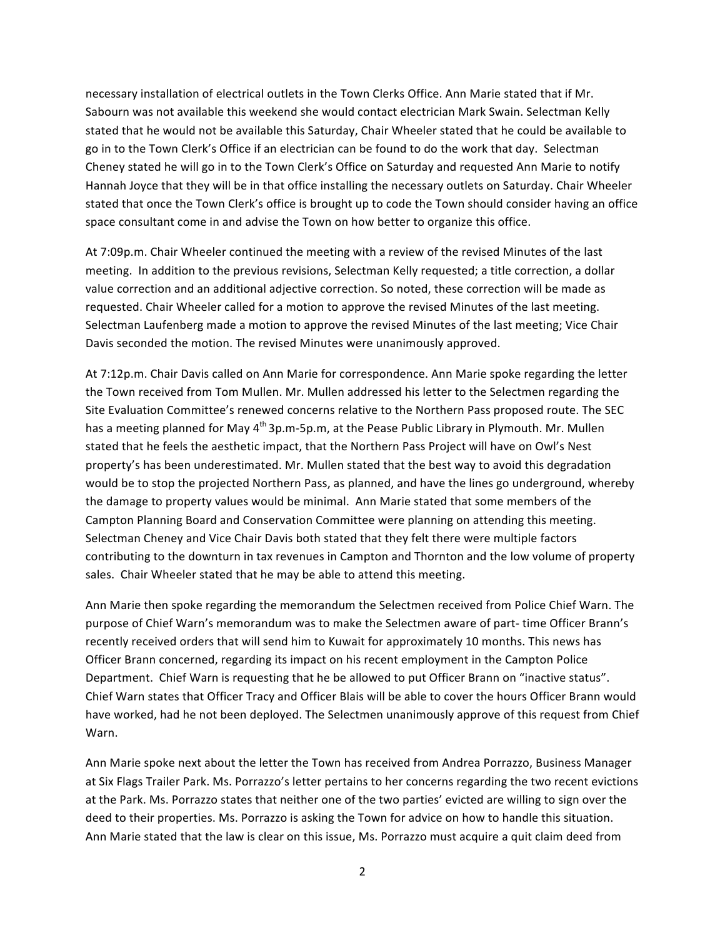necessary installation of electrical outlets in the Town Clerks Office. Ann Marie stated that if Mr. Sabourn was not available this weekend she would contact electrician Mark Swain. Selectman Kelly stated that he would not be available this Saturday, Chair Wheeler stated that he could be available to go in to the Town Clerk's Office if an electrician can be found to do the work that day. Selectman Cheney stated he will go in to the Town Clerk's Office on Saturday and requested Ann Marie to notify Hannah Joyce that they will be in that office installing the necessary outlets on Saturday. Chair Wheeler stated that once the Town Clerk's office is brought up to code the Town should consider having an office space consultant come in and advise the Town on how better to organize this office.

At 7:09p.m. Chair Wheeler continued the meeting with a review of the revised Minutes of the last meeting. In addition to the previous revisions, Selectman Kelly requested; a title correction, a dollar value correction and an additional adjective correction. So noted, these correction will be made as requested. Chair Wheeler called for a motion to approve the revised Minutes of the last meeting. Selectman Laufenberg made a motion to approve the revised Minutes of the last meeting; Vice Chair Davis seconded the motion. The revised Minutes were unanimously approved.

At 7:12p.m. Chair Davis called on Ann Marie for correspondence. Ann Marie spoke regarding the letter the Town received from Tom Mullen. Mr. Mullen addressed his letter to the Selectmen regarding the Site Evaluation Committee's renewed concerns relative to the Northern Pass proposed route. The SEC has a meeting planned for May 4<sup>th</sup> 3p.m-5p.m, at the Pease Public Library in Plymouth. Mr. Mullen stated that he feels the aesthetic impact, that the Northern Pass Project will have on Owl's Nest property's has been underestimated. Mr. Mullen stated that the best way to avoid this degradation would be to stop the projected Northern Pass, as planned, and have the lines go underground, whereby the damage to property values would be minimal. Ann Marie stated that some members of the Campton Planning Board and Conservation Committee were planning on attending this meeting. Selectman Cheney and Vice Chair Davis both stated that they felt there were multiple factors contributing to the downturn in tax revenues in Campton and Thornton and the low volume of property sales. Chair Wheeler stated that he may be able to attend this meeting.

Ann Marie then spoke regarding the memorandum the Selectmen received from Police Chief Warn. The purpose of Chief Warn's memorandum was to make the Selectmen aware of part- time Officer Brann's recently received orders that will send him to Kuwait for approximately 10 months. This news has Officer Brann concerned, regarding its impact on his recent employment in the Campton Police Department. Chief Warn is requesting that he be allowed to put Officer Brann on "inactive status". Chief Warn states that Officer Tracy and Officer Blais will be able to cover the hours Officer Brann would have worked, had he not been deployed. The Selectmen unanimously approve of this request from Chief Warn.

Ann Marie spoke next about the letter the Town has received from Andrea Porrazzo, Business Manager at Six Flags Trailer Park. Ms. Porrazzo's letter pertains to her concerns regarding the two recent evictions at the Park. Ms. Porrazzo states that neither one of the two parties' evicted are willing to sign over the deed to their properties. Ms. Porrazzo is asking the Town for advice on how to handle this situation. Ann Marie stated that the law is clear on this issue, Ms. Porrazzo must acquire a quit claim deed from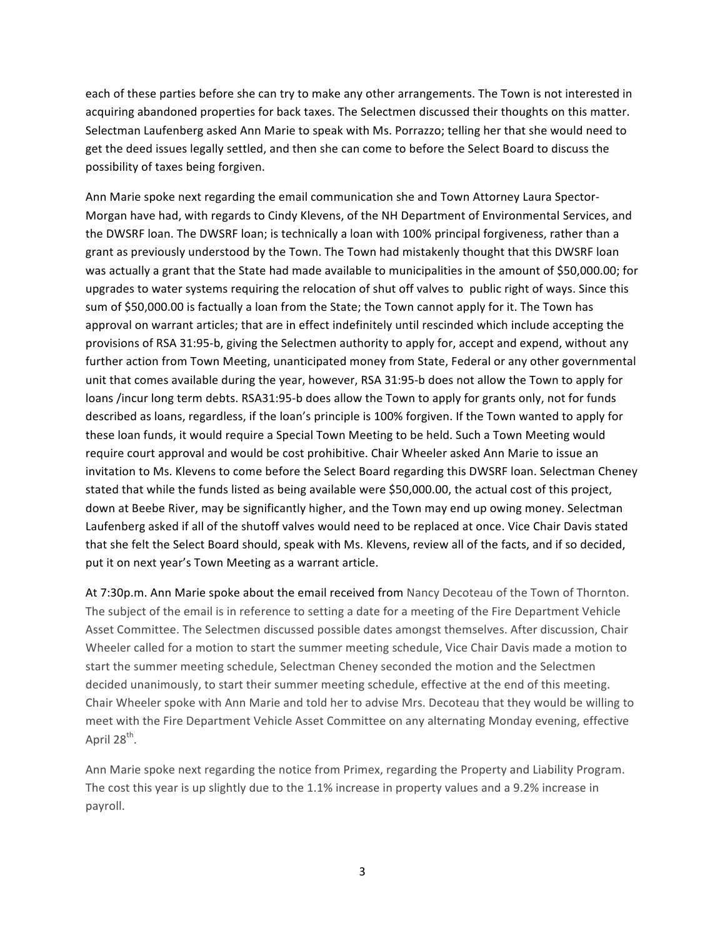each of these parties before she can try to make any other arrangements. The Town is not interested in acquiring abandoned properties for back taxes. The Selectmen discussed their thoughts on this matter. Selectman Laufenberg asked Ann Marie to speak with Ms. Porrazzo; telling her that she would need to get the deed issues legally settled, and then she can come to before the Select Board to discuss the possibility of taxes being forgiven.

Ann Marie spoke next regarding the email communication she and Town Attorney Laura Spector-Morgan have had, with regards to Cindy Klevens, of the NH Department of Environmental Services, and the DWSRF loan. The DWSRF loan; is technically a loan with 100% principal forgiveness, rather than a grant as previously understood by the Town. The Town had mistakenly thought that this DWSRF loan was actually a grant that the State had made available to municipalities in the amount of \$50,000.00; for upgrades to water systems requiring the relocation of shut off valves to public right of ways. Since this sum of \$50,000.00 is factually a loan from the State; the Town cannot apply for it. The Town has approval on warrant articles; that are in effect indefinitely until rescinded which include accepting the provisions of RSA 31:95-b, giving the Selectmen authority to apply for, accept and expend, without any further action from Town Meeting, unanticipated money from State, Federal or any other governmental unit that comes available during the year, however, RSA 31:95-b does not allow the Town to apply for loans /incur long term debts. RSA31:95-b does allow the Town to apply for grants only, not for funds described as loans, regardless, if the loan's principle is 100% forgiven. If the Town wanted to apply for these loan funds, it would require a Special Town Meeting to be held. Such a Town Meeting would require court approval and would be cost prohibitive. Chair Wheeler asked Ann Marie to issue an invitation to Ms. Klevens to come before the Select Board regarding this DWSRF loan. Selectman Cheney stated that while the funds listed as being available were \$50,000.00, the actual cost of this project, down at Beebe River, may be significantly higher, and the Town may end up owing money. Selectman Laufenberg asked if all of the shutoff valves would need to be replaced at once. Vice Chair Davis stated that she felt the Select Board should, speak with Ms. Klevens, review all of the facts, and if so decided, put it on next year's Town Meeting as a warrant article.

At 7:30p.m. Ann Marie spoke about the email received from Nancy Decoteau of the Town of Thornton. The subject of the email is in reference to setting a date for a meeting of the Fire Department Vehicle Asset Committee. The Selectmen discussed possible dates amongst themselves. After discussion, Chair Wheeler called for a motion to start the summer meeting schedule, Vice Chair Davis made a motion to start the summer meeting schedule, Selectman Cheney seconded the motion and the Selectmen decided unanimously, to start their summer meeting schedule, effective at the end of this meeting. Chair Wheeler spoke with Ann Marie and told her to advise Mrs. Decoteau that they would be willing to meet with the Fire Department Vehicle Asset Committee on any alternating Monday evening, effective April  $28^{th}$ .

Ann Marie spoke next regarding the notice from Primex, regarding the Property and Liability Program. The cost this year is up slightly due to the 1.1% increase in property values and a 9.2% increase in payroll.